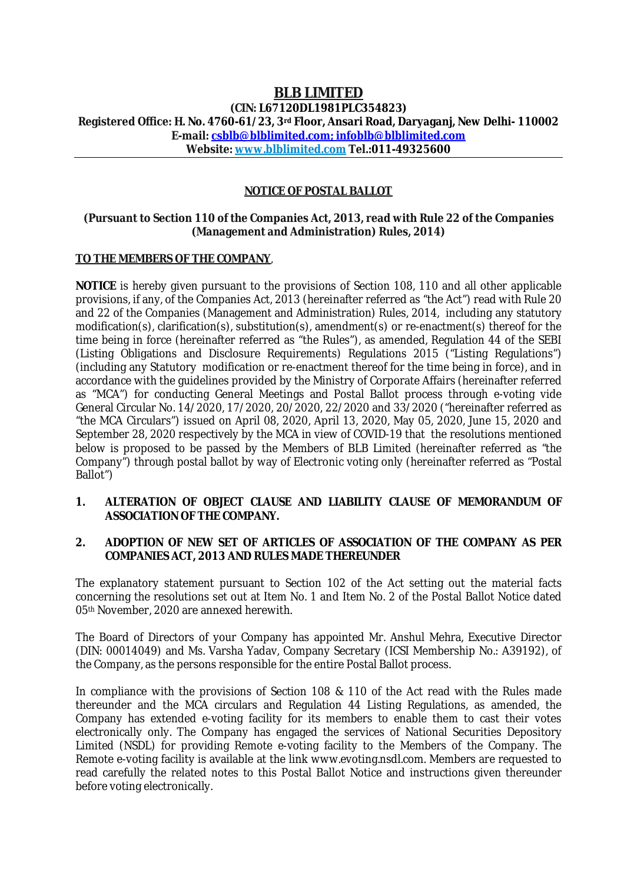# **BLB LIMITED**

**(CIN: L67120DL1981PLC354823) Registered Office: H. No. 4760-61/23, 3rd Floor, Ansari Road, Daryaganj, New Delhi- 110002 E-mail: csblb@blblimited.com; infoblb@blblimited.com Website: www.blblimited.com Tel.:011-49325600**

## **NOTICE OF POSTAL BALLOT**

#### **(Pursuant to Section 110 of the Companies Act, 2013, read with Rule 22 of the Companies (Management and Administration) Rules, 2014)**

### **TO THE MEMBERS OF THE COMPANY**,

**NOTICE** is hereby given pursuant to the provisions of Section 108, 110 and all other applicable provisions, if any, of the Companies Act, 2013 (hereinafter referred as "the Act") read with Rule 20 and 22 of the Companies (Management and Administration) Rules, 2014, including any statutory modification(s), clarification(s), substitution(s), amendment(s) or re-enactment(s) thereof for the time being in force (hereinafter referred as "the Rules"), as amended, Regulation 44 of the SEBI (Listing Obligations and Disclosure Requirements) Regulations 2015 ("Listing Regulations") (including any Statutory modification or re-enactment thereof for the time being in force), and in accordance with the guidelines provided by the Ministry of Corporate Affairs (hereinafter referred as "MCA") for conducting General Meetings and Postal Ballot process through e-voting vide General Circular No. 14/2020, 17/2020, 20/2020, 22/2020 and 33/2020 ("hereinafter referred as "the MCA Circulars") issued on April 08, 2020, April 13, 2020, May 05, 2020, June 15, 2020 and September 28, 2020 respectively by the MCA in view of COVID-19 that the resolutions mentioned below is proposed to be passed by the Members of BLB Limited (hereinafter referred as "the Company") through postal ballot by way of Electronic voting only (hereinafter referred as "Postal Ballot")

#### **1. ALTERATION OF OBJECT CLAUSE AND LIABILITY CLAUSE OF MEMORANDUM OF ASSOCIATION OF THE COMPANY.**

#### **2. ADOPTION OF NEW SET OF ARTICLES OF ASSOCIATION OF THE COMPANY AS PER COMPANIES ACT, 2013 AND RULES MADE THEREUNDER**

The explanatory statement pursuant to Section 102 of the Act setting out the material facts concerning the resolutions set out at Item No. 1 and Item No. 2 of the Postal Ballot Notice dated 05th November, 2020 are annexed herewith.

The Board of Directors of your Company has appointed Mr. Anshul Mehra, Executive Director (DIN: 00014049) and Ms. Varsha Yadav, Company Secretary (ICSI Membership No.: A39192), of the Company, as the persons responsible for the entire Postal Ballot process.

In compliance with the provisions of Section 108 & 110 of the Act read with the Rules made thereunder and the MCA circulars and Regulation 44 Listing Regulations, as amended, the Company has extended e-voting facility for its members to enable them to cast their votes electronically only. The Company has engaged the services of National Securities Depository Limited (NSDL) for providing Remote e-voting facility to the Members of the Company. The Remote e-voting facility is available at the link www.evoting.nsdl.com. Members are requested to read carefully the related notes to this Postal Ballot Notice and instructions given thereunder before voting electronically.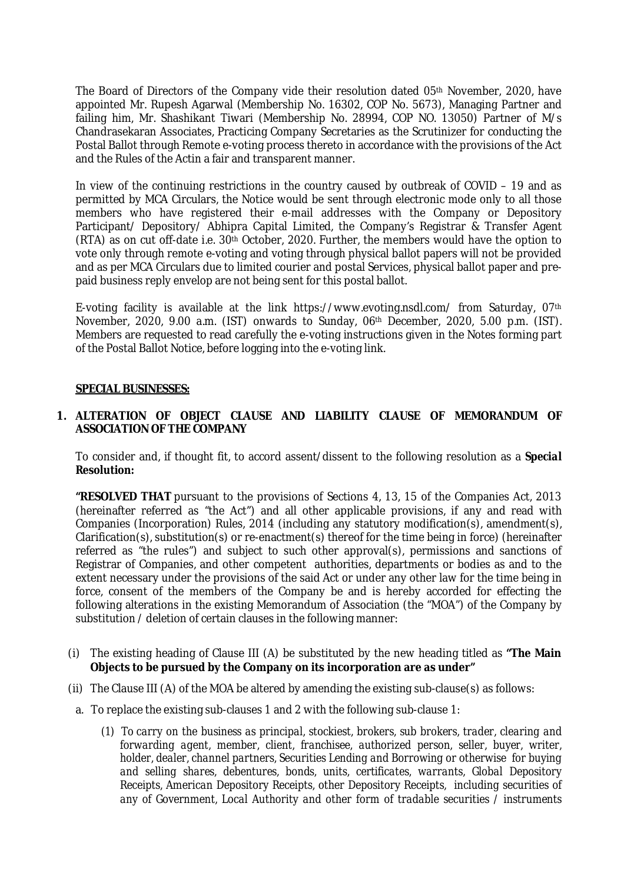The Board of Directors of the Company vide their resolution dated 05th November, 2020, have appointed Mr. Rupesh Agarwal (Membership No. 16302, COP No. 5673), Managing Partner and failing him, Mr. Shashikant Tiwari (Membership No. 28994, COP NO. 13050) Partner of M/s Chandrasekaran Associates, Practicing Company Secretaries as the Scrutinizer for conducting the Postal Ballot through Remote e-voting process thereto in accordance with the provisions of the Act and the Rules of the Actin a fair and transparent manner.

In view of the continuing restrictions in the country caused by outbreak of COVID - 19 and as permitted by MCA Circulars, the Notice would be sent through electronic mode only to all those members who have registered their e-mail addresses with the Company or Depository Participant/ Depository/ Abhipra Capital Limited, the Company's Registrar & Transfer Agent (RTA) as on cut off-date i.e. 30th October, 2020. Further, the members would have the option to vote only through remote e-voting and voting through physical ballot papers will not be provided and as per MCA Circulars due to limited courier and postal Services, physical ballot paper and prepaid business reply envelop are not being sent for this postal ballot.

E-voting facility is available at the link https://www.evoting.nsdl.com/ from Saturday, 07th November, 2020, 9.00 a.m. (IST) onwards to Sunday, 06th December, 2020, 5.00 p.m. (IST). Members are requested to read carefully the e-voting instructions given in the Notes forming part of the Postal Ballot Notice, before logging into the e-voting link.

#### **SPECIAL BUSINESSES:**

#### **1. ALTERATION OF OBJECT CLAUSE AND LIABILITY CLAUSE OF MEMORANDUM OF ASSOCIATION OF THE COMPANY**

To consider and, if thought fit, to accord assent/dissent to the following resolution as a *Special Resolution:*

**"RESOLVED THAT** pursuant to the provisions of Sections 4, 13, 15 of the Companies Act, 2013 (hereinafter referred as "the Act") and all other applicable provisions, if any and read with Companies (Incorporation) Rules, 2014 (including any statutory modification(s), amendment(s), Clarification(s), substitution(s) or re-enactment(s) thereof for the time being in force) (hereinafter referred as "the rules") and subject to such other approval(s), permissions and sanctions of Registrar of Companies, and other competent authorities, departments or bodies as and to the extent necessary under the provisions of the said Act or under any other law for the time being in force, consent of the members of the Company be and is hereby accorded for effecting the following alterations in the existing Memorandum of Association (the "MOA") of the Company by substitution / deletion of certain clauses in the following manner:

- (i) The existing heading of Clause III (A) be substituted by the new heading titled as **"The Main Objects to be pursued by the Company on its incorporation are as under"**
- (ii) The Clause III (A) of the MOA be altered by amending the existing sub-clause(s) as follows:
- a. To replace the existing sub-clauses 1 and 2 with the following sub-clause 1:
	- *(1) To carry on the business as principal, stockiest, brokers, sub brokers, trader, clearing and forwarding agent, member, client, franchisee, authorized person, seller, buyer, writer, holder, dealer, channel partners, Securities Lending and Borrowing or otherwise for buying and selling shares, debentures, bonds, units, certificates, warrants, Global Depository Receipts, American Depository Receipts, other Depository Receipts, including securities of any of Government, Local Authority and other form of tradable securities / instruments*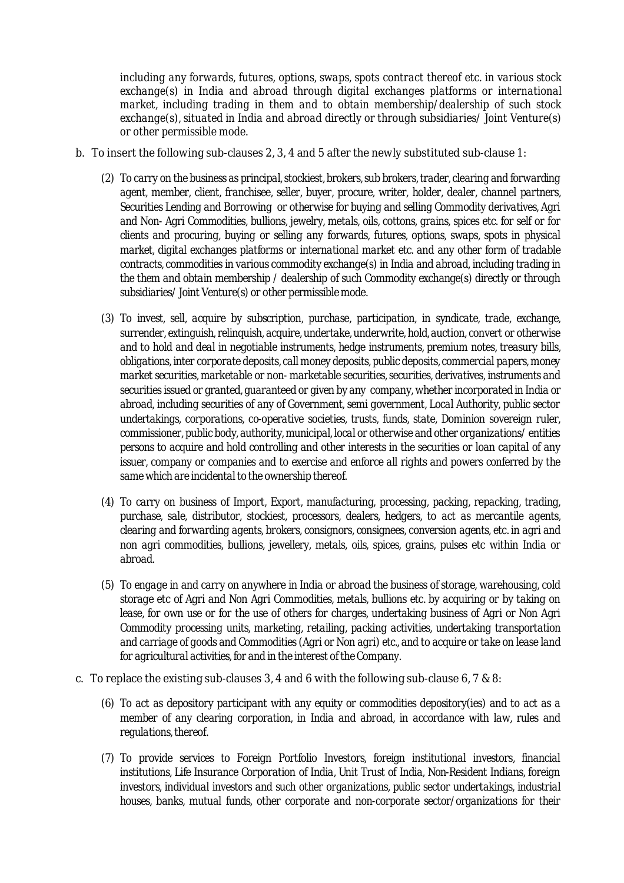*including any forwards, futures, options, swaps, spots contract thereof etc. in various stock exchange(s) in India and abroad through digital exchanges platforms or international market, including trading in them and to obtain membership/dealership of such stock exchange(s), situated in India and abroad directly or through subsidiaries/ Joint Venture(s) or other permissible mode.*

- b. To insert the following sub-clauses 2, 3, 4 and 5 after the newly substituted sub-clause 1:
	- *(2) To carry on the business as principal, stockiest, brokers, sub brokers, trader, clearing and forwarding agent, member, client, franchisee, seller, buyer, procure, writer, holder, dealer, channel partners, Securities Lending and Borrowing or otherwise for buying and selling Commodity derivatives, Agri and Non- Agri Commodities, bullions, jewelry, metals, oils, cottons, grains, spices etc. for self or for clients and procuring, buying or selling any forwards, futures, options, swaps, spots in physical market, digital exchanges platforms or international market etc. and any other form of tradable contracts, commodities in various commodity exchange(s) in India and abroad, including trading in the them and obtain membership / dealership of such Commodity exchange(s) directly or through subsidiaries/ Joint Venture(s) or other permissible mode.*
	- *(3) To invest, sell, acquire by subscription, purchase, participation, in syndicate, trade, exchange, surrender, extinguish, relinquish, acquire, undertake, underwrite, hold,auction, convert or otherwise and to hold and deal in negotiable instruments, hedge instruments, premium notes, treasury bills, obligations, inter corporate deposits, call money deposits, public deposits, commercial papers, money market securities, marketable or non- marketable securities, securities, derivatives, instruments and securities issued or granted, guaranteed or given by any company, whether incorporated in India or abroad, including securities of any of Government, semi government, Local Authority, public sector undertakings, corporations, co-operative societies, trusts, funds, state, Dominion sovereign ruler, commissioner, public body, authority, municipal, local or otherwise and other organizations/ entities persons to acquire and hold controlling and other interests in the securities or loan capital of any issuer, company or companies and to exercise and enforce all rights and powers conferred by the same which are incidental to the ownership thereof.*
	- *(4) To carry on business of Import, Export, manufacturing, processing, packing, repacking, trading, purchase, sale, distributor, stockiest, processors, dealers, hedgers, to act as mercantile agents, clearing and forwarding agents, brokers, consignors, consignees, conversion agents, etc. in agri and non agri commodities, bullions, jewellery, metals, oils, spices, grains, pulses etc within India or abroad.*
	- *(5) To engage in and carry on anywhere in India or abroad the business of storage, warehousing, cold storage etc of Agri and Non Agri Commodities, metals, bullions etc. by acquiring or by taking on*  lease, for own use or for the use of others for charges, undertaking business of Agri or Non Agri *Commodity processing units, marketing, retailing, packing activities, undertaking transportation and carriage of goods and Commodities (Agri or Non agri) etc., and to acquire or take on lease land for agricultural activities, for and in the interest of the Company.*
- c. To replace the existing sub-clauses 3, 4 and 6 with the following sub-clause 6, 7 & 8:
	- *(6) To act as depository participant with any equity or commodities depository(ies) and to act as a member of any clearing corporation, in India and abroad, in accordance with law, rules and regulations, thereof.*
	- *(7) To provide services to Foreign Portfolio Investors, foreign institutional investors, financial institutions, Life Insurance Corporation of India, Unit Trust of India, Non-Resident Indians, foreign investors, individual investors and such other organizations, public sector undertakings, industrial houses, banks, mutual funds, other corporate and non-corporate sector/organizations for their*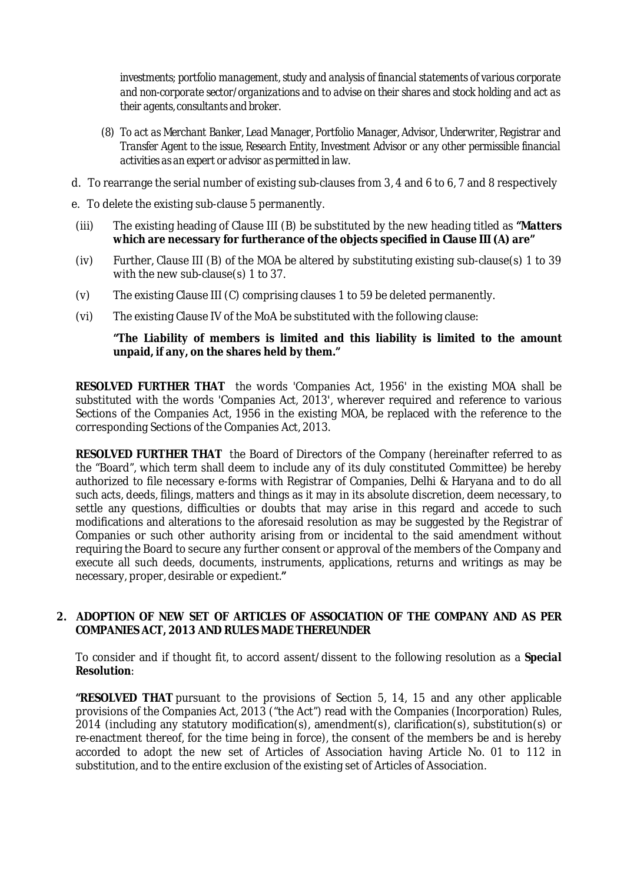*investments; portfolio management, study and analysis of financial statements of various corporate and non-corporate sector/organizations and to advise on their shares and stock holding and act as their agents, consultants and broker.* 

- *(8) To act as Merchant Banker, Lead Manager, Portfolio Manager, Advisor, Underwriter, Registrar and Transfer Agent to the issue, Research Entity, Investment Advisor or any other permissible financial activities as an expert or advisor as permitted in law.*
- d. To rearrange the serial number of existing sub-clauses from 3, 4 and 6 to 6, 7 and 8 respectively
- e. To delete the existing sub-clause 5 permanently.
- (iii) The existing heading of Clause III (B) be substituted by the new heading titled as **"Matters which are necessary for furtherance of the objects specified in Clause III (A) are"**
- (iv) Further, Clause III (B) of the MOA be altered by substituting existing sub-clause(s) 1 to 39 with the new sub-clause(s) 1 to 37.
- (v) The existing Clause III (C) comprising clauses 1 to 59 be deleted permanently.
- (vi) The existing Clause IV of the MoA be substituted with the following clause:

#### **"The Liability of members is limited and this liability is limited to the amount unpaid, if any, on the shares held by them."**

**RESOLVED FURTHER THAT** the words 'Companies Act, 1956' in the existing MOA shall be substituted with the words 'Companies Act, 2013', wherever required and reference to various Sections of the Companies Act, 1956 in the existing MOA, be replaced with the reference to the corresponding Sections of the Companies Act, 2013.

**RESOLVED FURTHER THAT** the Board of Directors of the Company (hereinafter referred to as the "Board", which term shall deem to include any of its duly constituted Committee) be hereby authorized to file necessary e-forms with Registrar of Companies, Delhi & Haryana and to do all such acts, deeds, filings, matters and things as it may in its absolute discretion, deem necessary, to settle any questions, difficulties or doubts that may arise in this regard and accede to such modifications and alterations to the aforesaid resolution as may be suggested by the Registrar of Companies or such other authority arising from or incidental to the said amendment without requiring the Board to secure any further consent or approval of the members of the Company and execute all such deeds, documents, instruments, applications, returns and writings as may be necessary, proper, desirable or expedient.**"**

#### **2. ADOPTION OF NEW SET OF ARTICLES OF ASSOCIATION OF THE COMPANY AND AS PER COMPANIES ACT, 2013 AND RULES MADE THEREUNDER**

To consider and if thought fit, to accord assent/dissent to the following resolution as a *Special Resolution*:

**"RESOLVED THAT** pursuant to the provisions of Section 5, 14, 15 and any other applicable provisions of the Companies Act, 2013 ("the Act") read with the Companies (Incorporation) Rules, 2014 (including any statutory modification(s), amendment(s), clarification(s), substitution(s) or re-enactment thereof, for the time being in force), the consent of the members be and is hereby accorded to adopt the new set of Articles of Association having Article No. 01 to 112 in substitution, and to the entire exclusion of the existing set of Articles of Association.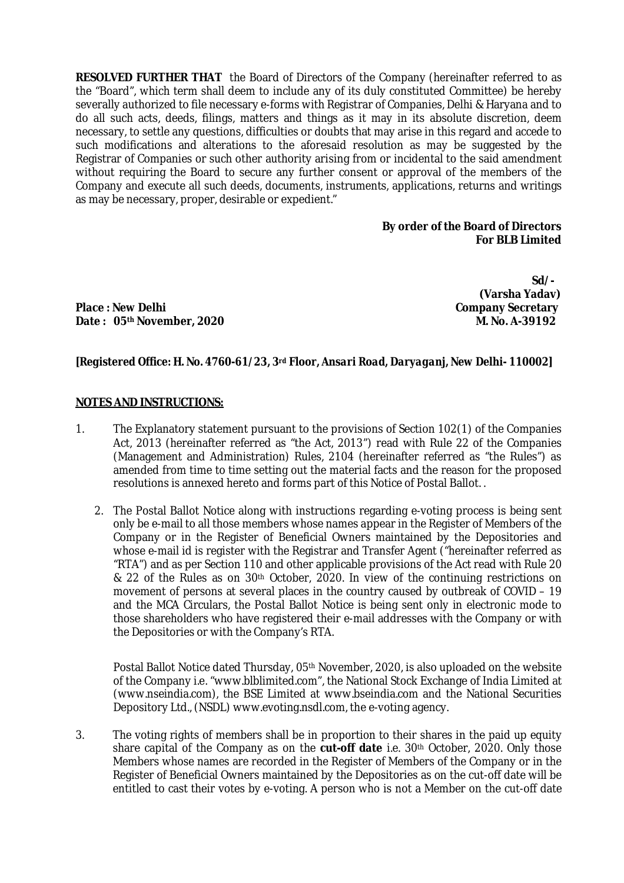**RESOLVED FURTHER THAT** the Board of Directors of the Company (hereinafter referred to as the "Board", which term shall deem to include any of its duly constituted Committee) be hereby severally authorized to file necessary e-forms with Registrar of Companies, Delhi & Haryana and to do all such acts, deeds, filings, matters and things as it may in its absolute discretion, deem necessary, to settle any questions, difficulties or doubts that may arise in this regard and accede to such modifications and alterations to the aforesaid resolution as may be suggested by the Registrar of Companies or such other authority arising from or incidental to the said amendment without requiring the Board to secure any further consent or approval of the members of the Company and execute all such deeds, documents, instruments, applications, returns and writings as may be necessary, proper, desirable or expedient."

#### **By order of the Board of Directors For BLB Limited**

Place : New Delhi **Place : New Delhi Company Secretary**<br>Date : 05<sup>th</sup> November, 2020 **Date: 05<sup>th</sup> November, 2020** 

 **Sd/- (Varsha Yadav)**

## *[Registered Office: H. No. 4760-61/23, 3rd Floor, Ansari Road, Daryaganj, New Delhi- 110002]*

#### **NOTES AND INSTRUCTIONS:**

- 1. The Explanatory statement pursuant to the provisions of Section 102(1) of the Companies Act, 2013 (hereinafter referred as "the Act, 2013") read with Rule 22 of the Companies (Management and Administration) Rules, 2104 (hereinafter referred as "the Rules") as amended from time to time setting out the material facts and the reason for the proposed resolutions is annexed hereto and forms part of this Notice of Postal Ballot. .
	- 2. The Postal Ballot Notice along with instructions regarding e-voting process is being sent only be e-mail to all those members whose names appear in the Register of Members of the Company or in the Register of Beneficial Owners maintained by the Depositories and whose e-mail id is register with the Registrar and Transfer Agent ("hereinafter referred as "RTA") and as per Section 110 and other applicable provisions of the Act read with Rule 20 & 22 of the Rules as on 30<sup>th</sup> October, 2020. In view of the continuing restrictions on movement of persons at several places in the country caused by outbreak of COVID – 19 and the MCA Circulars, the Postal Ballot Notice is being sent only in electronic mode to those shareholders who have registered their e-mail addresses with the Company or with the Depositories or with the Company's RTA.

Postal Ballot Notice dated Thursday, 05<sup>th</sup> November, 2020, is also uploaded on the website of the Company i.e. "www.blblimited.com", the National Stock Exchange of India Limited at (www.nseindia.com), the BSE Limited at www.bseindia.com and the National Securities Depository Ltd., (NSDL) www.evoting.nsdl.com, the e-voting agency.

3. The voting rights of members shall be in proportion to their shares in the paid up equity share capital of the Company as on the **cut-off date** i.e. 30th October, 2020. Only those Members whose names are recorded in the Register of Members of the Company or in the Register of Beneficial Owners maintained by the Depositories as on the cut-off date will be entitled to cast their votes by e-voting. A person who is not a Member on the cut-off date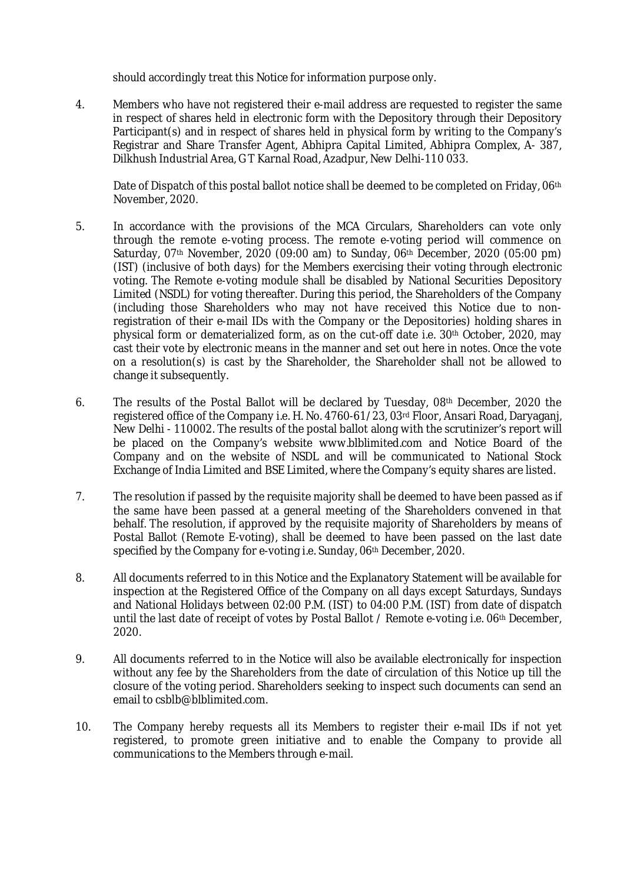should accordingly treat this Notice for information purpose only.

4. Members who have not registered their e-mail address are requested to register the same in respect of shares held in electronic form with the Depository through their Depository Participant(s) and in respect of shares held in physical form by writing to the Company's Registrar and Share Transfer Agent, Abhipra Capital Limited, Abhipra Complex, A- 387, Dilkhush Industrial Area, G T Karnal Road, Azadpur, New Delhi-110 033.

Date of Dispatch of this postal ballot notice shall be deemed to be completed on Friday, 06<sup>th</sup> November, 2020.

- 5. In accordance with the provisions of the MCA Circulars, Shareholders can vote only through the remote e-voting process. The remote e-voting period will commence on Saturday, 07th November, 2020 (09:00 am) to Sunday, 06th December, 2020 (05:00 pm) (IST) (inclusive of both days) for the Members exercising their voting through electronic voting. The Remote e-voting module shall be disabled by National Securities Depository Limited (NSDL) for voting thereafter. During this period, the Shareholders of the Company (including those Shareholders who may not have received this Notice due to nonregistration of their e-mail IDs with the Company or the Depositories) holding shares in physical form or dematerialized form, as on the cut-off date i.e. 30th October, 2020, may cast their vote by electronic means in the manner and set out here in notes. Once the vote on a resolution(s) is cast by the Shareholder, the Shareholder shall not be allowed to change it subsequently.
- 6. The results of the Postal Ballot will be declared by Tuesday, 08th December, 2020 the registered office of the Company i.e. H. No. 4760-61/23, 03rd Floor, Ansari Road, Daryaganj, New Delhi - 110002. The results of the postal ballot along with the scrutinizer's report will be placed on the Company's website www.blblimited.com and Notice Board of the Company and on the website of NSDL and will be communicated to National Stock Exchange of India Limited and BSE Limited, where the Company's equity shares are listed.
- 7. The resolution if passed by the requisite majority shall be deemed to have been passed as if the same have been passed at a general meeting of the Shareholders convened in that behalf. The resolution, if approved by the requisite majority of Shareholders by means of Postal Ballot (Remote E-voting), shall be deemed to have been passed on the last date specified by the Company for e-voting i.e. Sunday, 06<sup>th</sup> December, 2020.
- 8. All documents referred to in this Notice and the Explanatory Statement will be available for inspection at the Registered Office of the Company on all days except Saturdays, Sundays and National Holidays between 02:00 P.M. (IST) to 04:00 P.M. (IST) from date of dispatch until the last date of receipt of votes by Postal Ballot / Remote e-voting i.e. 06<sup>th</sup> December, 2020.
- 9. All documents referred to in the Notice will also be available electronically for inspection without any fee by the Shareholders from the date of circulation of this Notice up till the closure of the voting period. Shareholders seeking to inspect such documents can send an email to csblb@blblimited.com.
- 10. The Company hereby requests all its Members to register their e-mail IDs if not yet registered, to promote green initiative and to enable the Company to provide all communications to the Members through e-mail.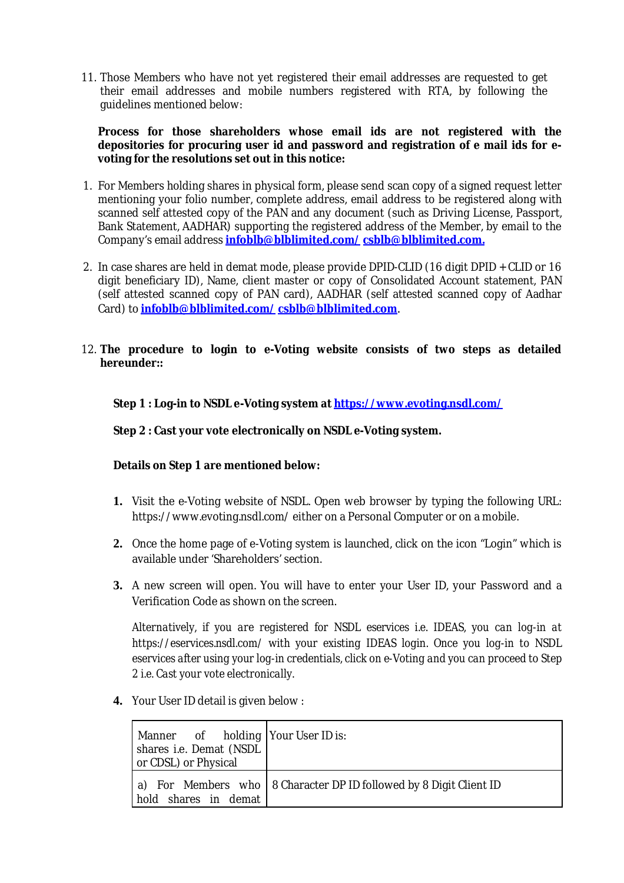11. Those Members who have not yet registered their email addresses are requested to get their email addresses and mobile numbers registered with RTA, by following the guidelines mentioned below:

#### **Process for those shareholders whose email ids are not registered with the depositories for procuring user id and password and registration of e mail ids for evoting for the resolutions set out in this notice:**

- 1. For Members holding shares in physical form, please send scan copy of a signed request letter mentioning your folio number, complete address, email address to be registered along with scanned self attested copy of the PAN and any document (such as Driving License, Passport, Bank Statement, AADHAR) supporting the registered address of the Member, by email to the Company's email address **infoblb@blblimited.com/ csblb@blblimited.com.**
- 2. In case shares are held in demat mode, please provide DPID-CLID (16 digit DPID + CLID or 16 digit beneficiary ID), Name, client master or copy of Consolidated Account statement, PAN (self attested scanned copy of PAN card), AADHAR (self attested scanned copy of Aadhar Card) to **infoblb@blblimited.com/ csblb@blblimited.com**.

### 12. **The procedure to login to e-Voting website consists of two steps as detailed hereunder::**

**Step 1 : Log-in to NSDL e-Voting system at https://www.evoting.nsdl.com/**

#### **Step 2 : Cast your vote electronically on NSDL e-Voting system.**

#### **Details on Step 1 are mentioned below:**

- **1.** Visit the e-Voting website of NSDL. Open web browser by typing the following URL: https://www.evoting.nsdl.com/ either on a Personal Computer or on a mobile.
- **2.** Once the home page of e-Voting system is launched, click on the icon "Login" which is available under 'Shareholders' section.
- **3.** A new screen will open. You will have to enter your User ID, your Password and a Verification Code as shown on the screen.

*Alternatively, if you are registered for NSDL eservices i.e. IDEAS, you can log-in at https://eservices.nsdl.com/ with your existing IDEAS login. Once you log-in to NSDL eservices after using your log-in credentials, click on e-Voting and you can proceed to Step 2 i.e. Cast your vote electronically.*

**4.** Your User ID detail is given below :

| Manner of holding Your User ID is:<br>shares i.e. Demat (NSDL<br>or CDSL) or Physical |                                                                      |
|---------------------------------------------------------------------------------------|----------------------------------------------------------------------|
| hold shares in demat                                                                  | a) For Members who   8 Character DP ID followed by 8 Digit Client ID |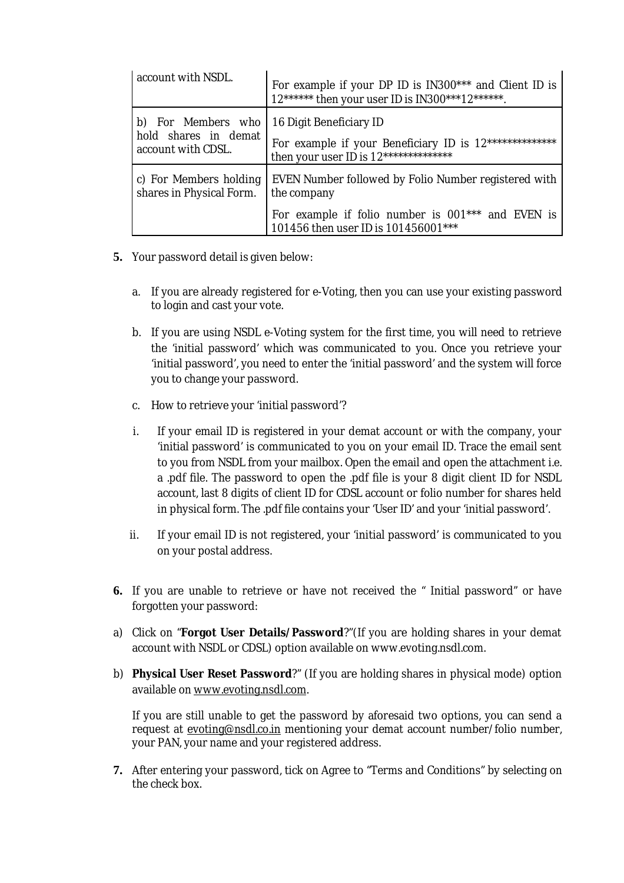| account with NSDL.       | For example if your DP ID is IN300*** and Client ID is<br>12****** then your user ID is IN300***12******. |
|--------------------------|-----------------------------------------------------------------------------------------------------------|
| b) For Members who       | 16 Digit Beneficiary ID                                                                                   |
| hold shares in demat     | For example if your Beneficiary ID is 12**************                                                    |
| account with CDSL.       | then your user ID is 12**************                                                                     |
| c) For Members holding   | EVEN Number followed by Folio Number registered with                                                      |
| shares in Physical Form. | the company                                                                                               |
|                          | For example if folio number is 001*** and EVEN is<br>101456 then user ID is 101456001***                  |

- **5.** Your password detail is given below:
	- a. If you are already registered for e-Voting, then you can use your existing password to login and cast your vote.
	- b. If you are using NSDL e-Voting system for the first time, you will need to retrieve the 'initial password' which was communicated to you. Once you retrieve your 'initial password', you need to enter the 'initial password' and the system will force you to change your password.
	- c. How to retrieve your 'initial password'?
	- i. If your email ID is registered in your demat account or with the company, your 'initial password' is communicated to you on your email ID. Trace the email sent to you from NSDL from your mailbox. Open the email and open the attachment i.e. a .pdf file. The password to open the .pdf file is your 8 digit client ID for NSDL account, last 8 digits of client ID for CDSL account or folio number for shares held in physical form. The .pdf file contains your 'User ID' and your 'initial password'.
	- ii. If your email ID is not registered, your 'initial password' is communicated to you on your postal address.
- **6.** If you are unable to retrieve or have not received the " Initial password" or have forgotten your password:
- a) Click on "**Forgot User Details/Password**?"(If you are holding shares in your demat account with NSDL or CDSL) option available on www.evoting.nsdl.com.
- b) **Physical User Reset Password**?" (If you are holding shares in physical mode) option available on www.evoting.nsdl.com.

If you are still unable to get the password by aforesaid two options, you can send a request at evoting@nsdl.co.in mentioning your demat account number/folio number, your PAN, your name and your registered address.

**7.** After entering your password, tick on Agree to "Terms and Conditions" by selecting on the check box.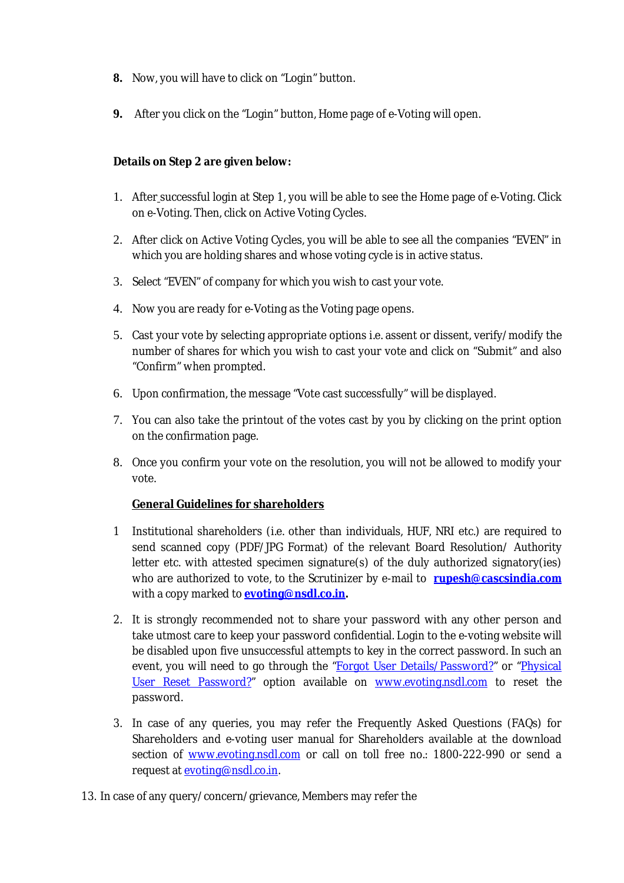- **8.** Now, you will have to click on "Login" button.
- **9.** After you click on the "Login" button, Home page of e-Voting will open.

# **Details on Step 2 are given below:**

- 1. After successful login at Step 1, you will be able to see the Home page of e-Voting. Click on e-Voting. Then, click on Active Voting Cycles.
- 2. After click on Active Voting Cycles, you will be able to see all the companies "EVEN" in which you are holding shares and whose voting cycle is in active status.
- 3. Select "EVEN" of company for which you wish to cast your vote.
- 4. Now you are ready for e-Voting as the Voting page opens.
- 5. Cast your vote by selecting appropriate options i.e. assent or dissent, verify/modify the number of shares for which you wish to cast your vote and click on "Submit" and also "Confirm" when prompted.
- 6. Upon confirmation, the message "Vote cast successfully" will be displayed.
- 7. You can also take the printout of the votes cast by you by clicking on the print option on the confirmation page.
- 8. Once you confirm your vote on the resolution, you will not be allowed to modify your vote.

# **General Guidelines for shareholders**

- 1 Institutional shareholders (i.e. other than individuals, HUF, NRI etc.) are required to send scanned copy (PDF/JPG Format) of the relevant Board Resolution/ Authority letter etc. with attested specimen signature(s) of the duly authorized signatory(ies) who are authorized to vote, to the Scrutinizer by e-mail to **rupesh@cascsindia.com** with a copy marked to **evoting@nsdl.co.in.**
- 2. It is strongly recommended not to share your password with any other person and take utmost care to keep your password confidential. Login to the e-voting website will be disabled upon five unsuccessful attempts to key in the correct password. In such an event, you will need to go through the "Forgot User Details/Password?" or "Physical User Reset Password?" option available on www.evoting.nsdl.com to reset the password.
- 3. In case of any queries, you may refer the Frequently Asked Questions (FAQs) for Shareholders and e-voting user manual for Shareholders available at the download section of www.evoting.nsdl.com or call on toll free no.: 1800-222-990 or send a request at evoting@nsdl.co.in.
- 13. In case of any query/concern/grievance, Members may refer the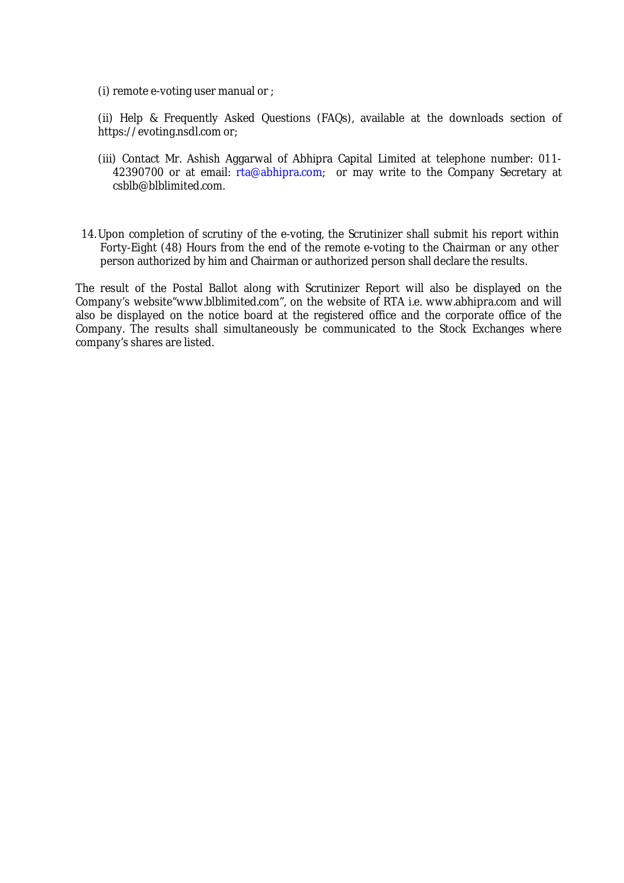(i) remote e-voting user manual or ;

(ii) Help & Frequently Asked Questions (FAQs), available at the downloads section of https://evoting.nsdl.com or;

- (iii) Contact Mr. Ashish Aggarwal of Abhipra Capital Limited at telephone number: 011- 42390700 or at email: rta@abhipra.com; or may write to the Company Secretary at csblb@blblimited.com.
- 14.Upon completion of scrutiny of the e-voting, the Scrutinizer shall submit his report within Forty-Eight (48) Hours from the end of the remote e-voting to the Chairman or any other person authorized by him and Chairman or authorized person shall declare the results.

The result of the Postal Ballot along with Scrutinizer Report will also be displayed on the Company's website"www.blblimited.com", on the website of RTA i.e. www.abhipra.com and will also be displayed on the notice board at the registered office and the corporate office of the Company. The results shall simultaneously be communicated to the Stock Exchanges where company's shares are listed.